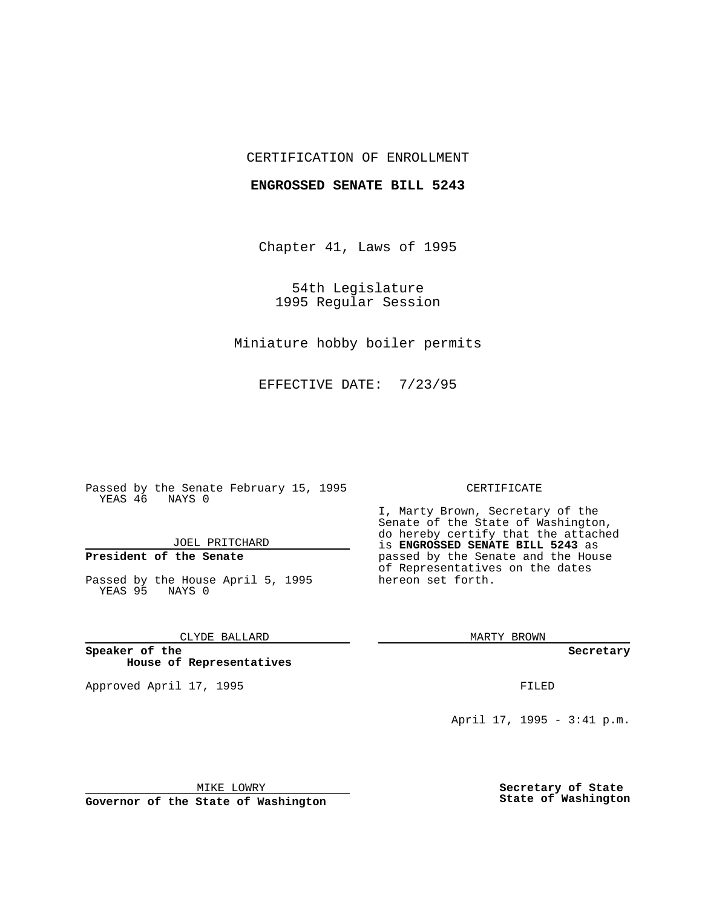### CERTIFICATION OF ENROLLMENT

### **ENGROSSED SENATE BILL 5243**

Chapter 41, Laws of 1995

54th Legislature 1995 Regular Session

Miniature hobby boiler permits

EFFECTIVE DATE: 7/23/95

Passed by the Senate February 15, 1995 YEAS 46 NAYS 0

JOEL PRITCHARD

# **President of the Senate**

Passed by the House April 5, 1995 YEAS 95 NAYS 0

CLYDE BALLARD

**Speaker of the House of Representatives**

Approved April 17, 1995 **FILED** 

#### CERTIFICATE

I, Marty Brown, Secretary of the Senate of the State of Washington, do hereby certify that the attached is **ENGROSSED SENATE BILL 5243** as passed by the Senate and the House of Representatives on the dates hereon set forth.

MARTY BROWN

**Secretary**

April 17, 1995 - 3:41 p.m.

MIKE LOWRY

**Governor of the State of Washington**

**Secretary of State State of Washington**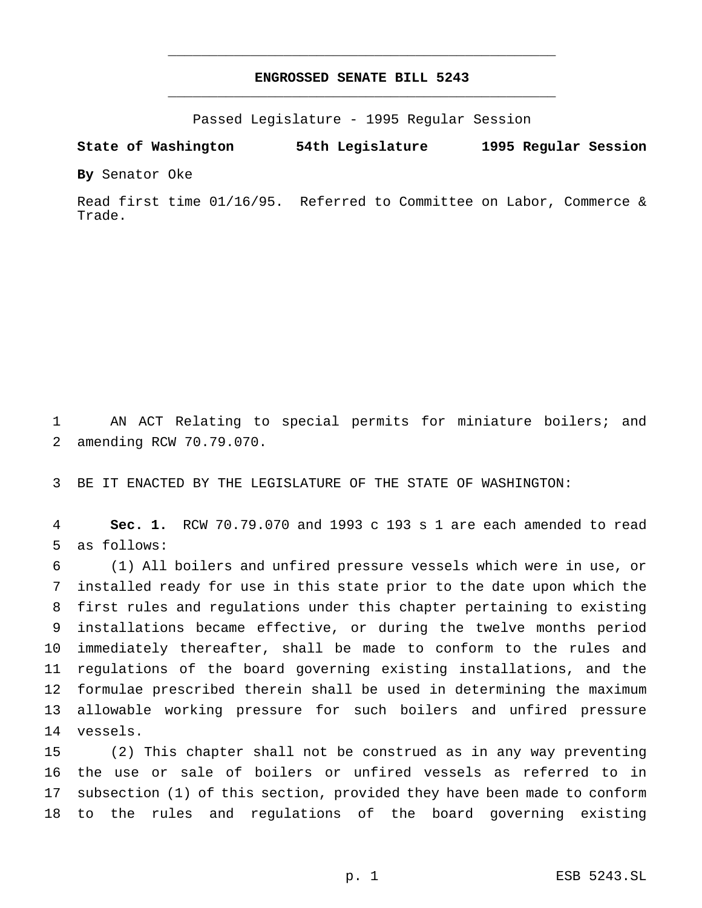## **ENGROSSED SENATE BILL 5243** \_\_\_\_\_\_\_\_\_\_\_\_\_\_\_\_\_\_\_\_\_\_\_\_\_\_\_\_\_\_\_\_\_\_\_\_\_\_\_\_\_\_\_\_\_\_\_

\_\_\_\_\_\_\_\_\_\_\_\_\_\_\_\_\_\_\_\_\_\_\_\_\_\_\_\_\_\_\_\_\_\_\_\_\_\_\_\_\_\_\_\_\_\_\_

Passed Legislature - 1995 Regular Session

#### **State of Washington 54th Legislature 1995 Regular Session**

**By** Senator Oke

Read first time 01/16/95. Referred to Committee on Labor, Commerce & Trade.

 AN ACT Relating to special permits for miniature boilers; and amending RCW 70.79.070.

BE IT ENACTED BY THE LEGISLATURE OF THE STATE OF WASHINGTON:

 **Sec. 1.** RCW 70.79.070 and 1993 c 193 s 1 are each amended to read as follows:

 (1) All boilers and unfired pressure vessels which were in use, or installed ready for use in this state prior to the date upon which the first rules and regulations under this chapter pertaining to existing installations became effective, or during the twelve months period immediately thereafter, shall be made to conform to the rules and regulations of the board governing existing installations, and the formulae prescribed therein shall be used in determining the maximum allowable working pressure for such boilers and unfired pressure vessels.

 (2) This chapter shall not be construed as in any way preventing the use or sale of boilers or unfired vessels as referred to in subsection (1) of this section, provided they have been made to conform to the rules and regulations of the board governing existing